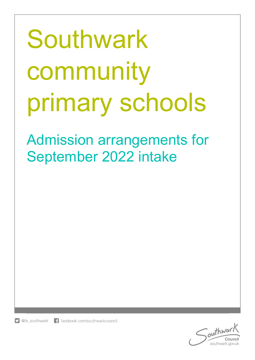# Southwark community primary schools

Admission arrangements for September 2022 intake



southwark.gov.uk

**D** @lb southwark f facebook.com/southwarkcouncil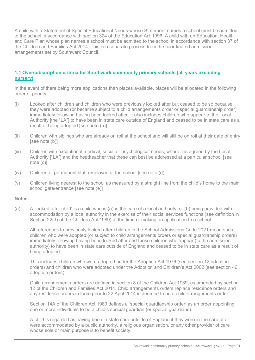A child with a Statement of Special Educational Needs whose Statement names a school must be admitted to the school in accordance with section 324 of the Education Act 1996. A child with an Education, Health and Care Plan whose plan names a school must be admitted to the school in accordance with section 37 of the Children and Families Act 2014. This is a separate process from the coordinated admission arrangements set by Southwark Council.

### 1.1 Oversubscription criteria for Southwark community primary schools (all years excluding nursery)

In the event of there being more applications than places available, places will be allocated in the following order of priority:

- (i) Looked after children and children who were previously looked after but ceased to be so because they were adopted (or became subject to a child arrangements order or special guardianship order) immediately following having been looked after. It also includes children who appear to the Local Authority [the "LA"] to have been in state care outside of England and ceased to be in state care as a result of being adopted [see note (a)]
- (ii) Children with siblings who are already on roll at the school and will still be on roll at their date of entry [see note (b)]
- (iii) Children with exceptional medical, social or psychological needs, where it is agreed by the Local Authority ["LA"] and the headteacher that these can best be addressed at a particular school [see note (c)]
- (iv) Children of permanent staff employed at the school [see note (d)]
- (v) Children living nearest to the school as measured by a straight line from the child's home to the main school gate/entrance [see note (e)]

### **Notes**

(a) A 'looked after child' is a child who is (a) in the care of a local authority, or (b) being provided with accommodation by a local authority in the exercise of their social services functions (see definition in Section 22(1) of the Children Act 1989) at the time of making an application to a school.

All references to previously looked after children in the School Admissions Code 2021 mean such children who were adopted (or subject to child arrangements orders or special guardianship orders) immediately following having been looked after and those children who appear (to the admission authority) to have been in state care outside of England and ceased to be in state care as a result of being adopted.

This includes children who were adopted under the Adoption Act 1976 (see section 12 adoption orders) and children who were adopted under the Adoption and Children's Act 2002 (see section 46 adoption orders).

Child arrangements orders are defined in section 8 of the Children Act 1989, as amended by section 12 of the Children and Families Act 2014. Child arrangements orders replace residence orders and any residence orders in force prior to 22 April 2014 is deemed to be a child arrangements order.

Section 14A of the Children Act 1989 defines a 'special guardianship order' as an order appointing one or more individuals to be a child's special guardian (or special guardians).

A child is regarded as having been in state care outside of England if they were in the care of or were accommodated by a public authority, a religious organisation, or any other provider of care whose sole or main purpose is to benefit society.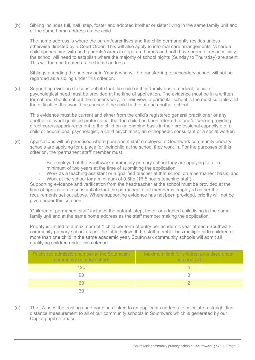(b) Sibling includes full, half, step, foster and adopted brother or sister living in the same family unit and at the same home address as the child.

The home address is where the parent/carer lives and the child permanently resides unless otherwise directed by a Court Order. This will also apply to informal care arrangements. Where a child spends time with both parents/carers in separate homes and both have parental responsibility, the school will need to establish where the majority of school nights (Sunday to Thursday) are spent. This will then be treated as the home address.

Siblings attending the nursery or in Year 6 who will be transferring to secondary school will not be regarded as a sibling under this criterion.

(c) Supporting evidence to substantiate that the child or their family has a medical, social or psychological need must be provided at the time of application. The evidence must be in a written format and should set out the reasons why, in their view, a particular school is the most suitable and the difficulties that would be caused if the child had to attend another school.

This evidence must be current and either from the child's registered general practitioner or any another relevant qualified professional that the child has been referred to and/or who is providing direct care/support/treatment to the child on an ongoing basis in their professional capacity e.g. a child or educational psychologist, a child psychiatrist, an orthopaedic consultant or a social worker.

- (d) Applications will be prioritised where permanent staff employed at Southwark community primary schools are applying for a place for their child at the school they work in. For the purposes of this criterion, the 'permanent staff' member must:
	- Be employed at the Southwark community primary school they are applying to for a minimum of two years at the time of submitting the application
	- Work as a teaching assistant or a qualified teacher at that school on a permanent basis; and
	- Work at the school for a minimum of 0.6fte (16.5 hours teaching staff).

Supporting evidence and verification from the headteacher at the school must be provided at the time of application to substantiate that the permanent staff member is employed as per the requirements set out above. Where supporting evidence has not been provided, priority will not be given under this criterion.

'Children of permanent staff' includes the natural, step, foster or adopted child living in the same family unit and at the same home address as the staff member making the application.

Priority is limited to a maximum of 1 child per form of entry per academic year at each Southwark community primary school as per the table below. If the staff member has multiple birth children or more than one child in the same academic year, Southwark community schools will admit all qualifying children under this criterion.

| Published admission number at the Southwark<br>community primary school | Maximum limit for children prioritised under<br>criterion (iv) |
|-------------------------------------------------------------------------|----------------------------------------------------------------|
| 120                                                                     |                                                                |
| 90                                                                      |                                                                |
| 60                                                                      |                                                                |
|                                                                         |                                                                |

(e) The LA uses the eastings and northings linked to an applicants address to calculate a straight line distance measurement to all of our community schools in Southwark which is generated by our Capita pupil database.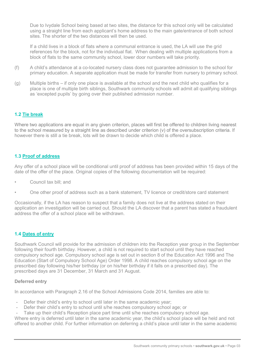Due to Ivydale School being based at two sites, the distance for this school only will be calculated using a straight line from each applicant's home address to the main gate/entrance of both school sites. The shorter of the two distances will then be used.

If a child lives in a block of flats where a communal entrance is used, the LA will use the grid references for the block, not for the individual flat. When dealing with multiple applications from a block of flats to the same community school, lower door numbers will take priority.

- (f) A child's attendance at a co-located nursery class does not guarantee admission to the school for primary education. A separate application must be made for transfer from nursery to primary school.
- (g) Multiple births if only one place is available at the school and the next child who qualifies for a place is one of multiple birth siblings, Southwark community schools will admit all qualifying siblings as 'excepted pupils' by going over their published admission number.

# 1.2 Tie break

Where two applications are equal in any given criterion, places will first be offered to children living nearest to the school measured by a straight line as described under criterion (v) of the oversubscription criteria. If however there is still a tie break, lots will be drawn to decide which child is offered a place.

### 1.3 Proof of address

Any offer of a school place will be conditional until proof of address has been provided within 15 days of the date of the offer of the place. Original copies of the following documentation will be required:

- Council tax bill; and
- One other proof of address such as a bank statement, TV licence or credit/store card statement

Occasionally, if the LA has reason to suspect that a family does not live at the address stated on their application an investigation will be carried out. Should the LA discover that a parent has stated a fraudulent address the offer of a school place will be withdrawn.

# 1.4 Dates of entry

Southwark Council will provide for the admission of children into the Reception year group in the September following their fourth birthday. However, a child is not required to start school until they have reached compulsory school age. Compulsory school age is set out in section 8 of the Education Act 1996 and The Education (Start of Compulsory School Age) Order 1998. A child reaches compulsory school age on the prescribed day following his/her birthday (or on his/her birthday if it falls on a prescribed day). The prescribed days are 31 December, 31 March and 31 August.

### Deferred entry

In accordance with Paragraph 2.16 of the School Admissions Code 2014, families are able to:

- Defer their child's entry to school until later in the same academic year;
- Defer their child's entry to school until s/he reaches compulsory school age; or
- Take up their child's Reception place part time until s/he reaches compulsory school age.

Where entry is deferred until later in the same academic year, the child's school place will be held and not offered to another child. For further information on deferring a child's place until later in the same academic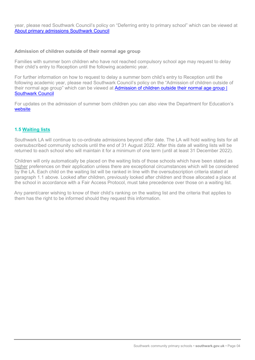year, please read Southwark Council's policy on "Deferring entry to primary school" which can be viewed at About primary admissions Southwark Council

### Admission of children outside of their normal age group

Families with summer born children who have not reached compulsory school age may request to delay their child's entry to Reception until the following academic year.

For further information on how to request to delay a summer born child's entry to Reception until the following academic year, please read Southwark Council's policy on the "Admission of children outside of their normal age group" which can be viewed at Admission of children outside their normal age group | Southwark Council

For updates on the admission of summer born children you can also view the Department for Education's website

## 1.5 Waiting lists

Southwark LA will continue to co-ordinate admissions beyond offer date. The LA will hold waiting lists for all oversubscribed community schools until the end of 31 August 2022. After this date all waiting lists will be returned to each school who will maintain it for a minimum of one term (until at least 31 December 2022).

Children will only automatically be placed on the waiting lists of those schools which have been stated as higher preferences on their application unless there are exceptional circumstances which will be considered by the LA. Each child on the waiting list will be ranked in line with the oversubscription criteria stated at paragraph 1.1 above. Looked after children, previously looked after children and those allocated a place at the school in accordance with a Fair Access Protocol, must take precedence over those on a waiting list.

Any parent/carer wishing to know of their child's ranking on the waiting list and the criteria that applies to them has the right to be informed should they request this information.